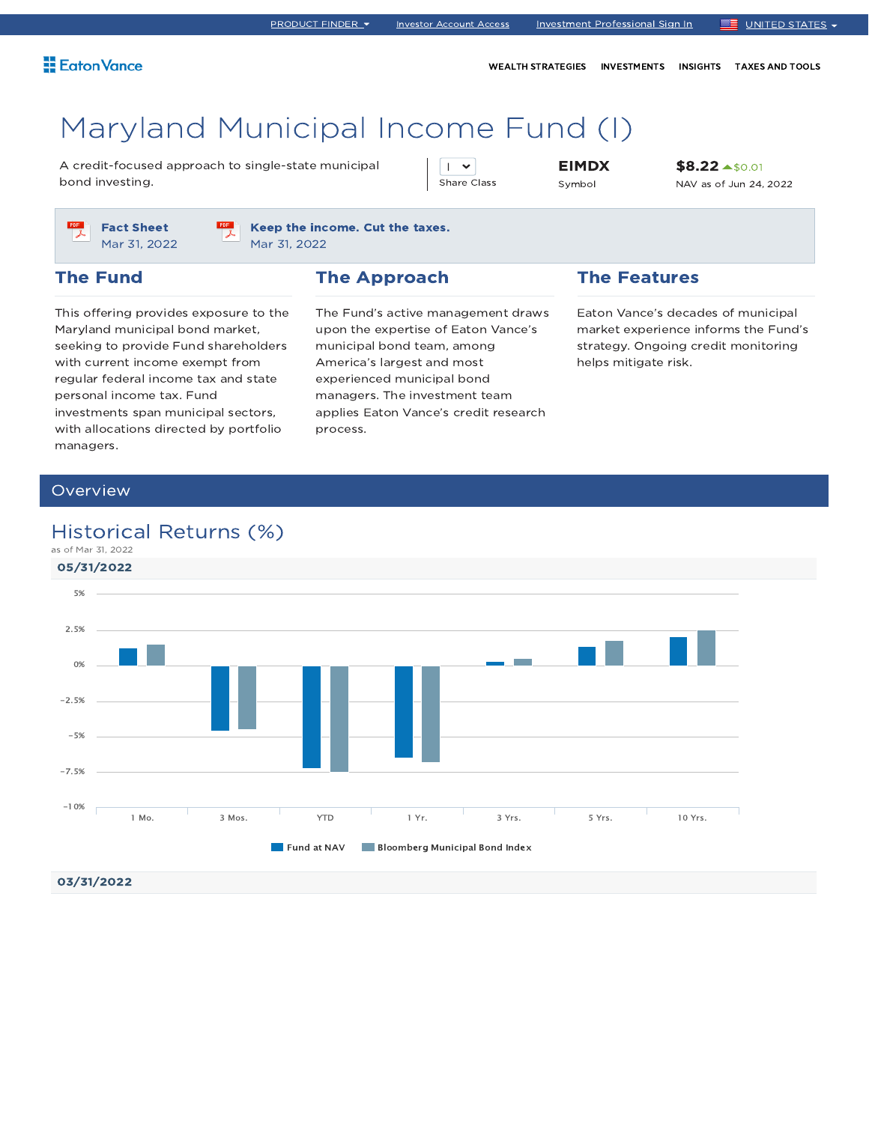WEALTH STRATEGIES INVESTMENTS INSIGHTS TAXES AND TOOLS

# Maryland Municipal Income Fund (I)

A credit-focused approach to single-state municipal bond investing.

 $\overline{1}$   $\overline{1}$ Share Class EIMDX Symbol

\$8.22 \$0.01 NAV as of Jun 24, 2022



Keep the income. Cut the taxes. Mar 31, 2022

### The Fund

### The Approach

This offering provides exposure to the Maryland municipal bond market, seeking to provide Fund shareholders with current income exempt from regular federal income tax and state personal income tax. Fund investments span municipal sectors, with allocations directed by portfolio managers.

The Fund's active management draws upon the expertise of Eaton Vance's municipal bond team, among America's largest and most experienced municipal bond managers. The investment team applies Eaton Vance's credit research process.

### The Features

Eaton Vance's decades of municipal market experience informs the Fund's strategy. Ongoing credit monitoring helps mitigate risk.

### **Overview**

### Historical Returns (%)

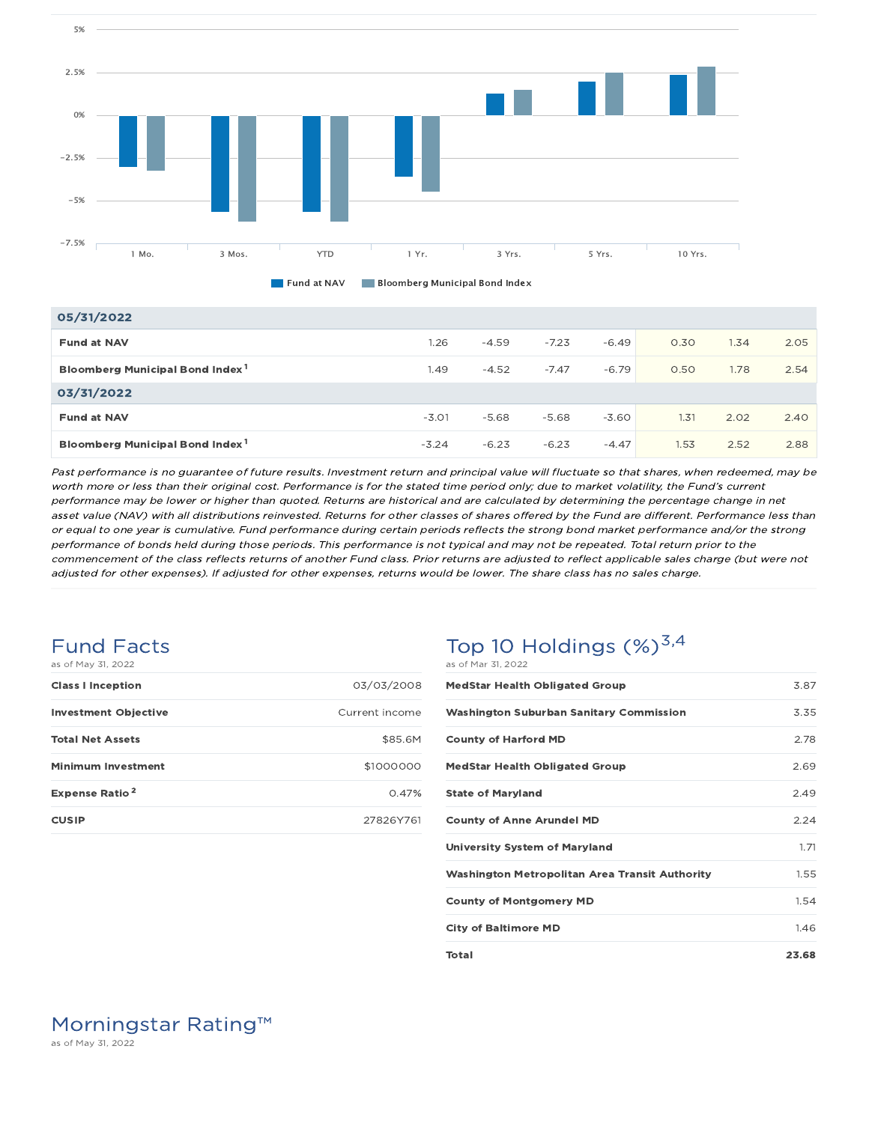



### 05/31/2022

| _________                                   |         |         |         |         |      |      |      |
|---------------------------------------------|---------|---------|---------|---------|------|------|------|
| <b>Fund at NAV</b>                          | 1.26    | $-4.59$ | $-7.23$ | $-6.49$ | 0.30 | 1.34 | 2.05 |
| Bloomberg Municipal Bond Index <sup>1</sup> | 1.49    | $-4.52$ | $-7.47$ | $-6.79$ | 0.50 | 1.78 | 2.54 |
| 03/31/2022                                  |         |         |         |         |      |      |      |
| <b>Fund at NAV</b>                          | $-3.01$ | $-5.68$ | $-5.68$ | $-3.60$ | 1.31 | 2.02 | 2.40 |
| Bloomberg Municipal Bond Index <sup>1</sup> | $-3.24$ | $-6.23$ | $-6.23$ | $-4.47$ | 1.53 | 2.52 | 2.88 |

Past performance is no guarantee of future results. Investment return and principal value will fluctuate so that shares, when redeemed, may be worth more or less than their original cost. Performance is for the stated time period only; due to market volatility, the Fund's current performance may be lower or higher than quoted. Returns are historical and are calculated by determining the percentage change in net asset value (NAV) with all distributions reinvested. Returns for other classes of shares offered by the Fund are different. Performance less than or equal to one year is cumulative. Fund performance during certain periods reflects the strong bond market performance and/or the strong performance of bonds held during those periods. This performance is not typical and may not be repeated. Total return prior to the commencement of the class reflects returns of another Fund class. Prior returns are adjusted to reflect applicable sales charge (but were not adjusted for other expenses). If adjusted for other expenses, returns would be lower. The share class has no sales charge.

#### Fund Facts as of May 31, 2022

| <b>Class I Inception</b>         | 03/03/2008     |
|----------------------------------|----------------|
| <b>Investment Objective</b>      | Current income |
| <b>Total Net Assets</b>          | \$85.6M        |
| <b>Minimum Investment</b>        | \$1000000      |
| <b>Expense Ratio<sup>2</sup></b> | 0.47%          |
| <b>CUSIP</b>                     | 27826Y761      |

### Top 10 Holdings  $(\%)^{3,4}$ as of Mar 31, 2022

| <b>MedStar Health Obligated Group</b>                 | 3.87  |
|-------------------------------------------------------|-------|
| <b>Washington Suburban Sanitary Commission</b>        | 3.35  |
| <b>County of Harford MD</b>                           | 2.78  |
| <b>MedStar Health Obligated Group</b>                 | 2.69  |
| <b>State of Maryland</b>                              | 2.49  |
| <b>County of Anne Arundel MD</b>                      | 2.24  |
| <b>University System of Maryland</b>                  | 1.71  |
| <b>Washington Metropolitan Area Transit Authority</b> | 1.55  |
| <b>County of Montgomery MD</b>                        | 1.54  |
| <b>City of Baltimore MD</b>                           | 146   |
| <b>Total</b>                                          | 23.68 |

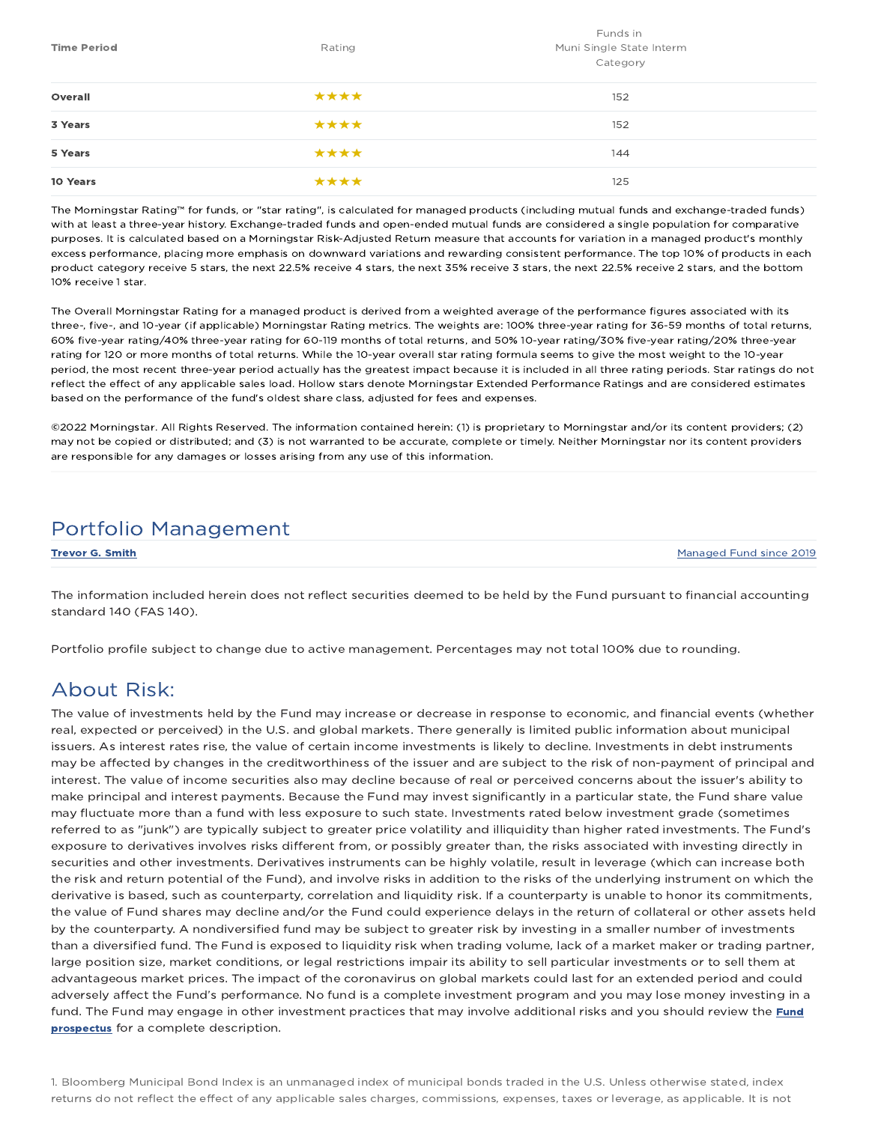| <b>Time Period</b> | Rating | Funds in<br>Muni Single State Interm<br>Category |
|--------------------|--------|--------------------------------------------------|
| Overall            | ****   | 152                                              |
| 3 Years            | ****   | 152                                              |
| 5 Years            | ****   | 144                                              |
| 10 Years           | ****   | 125                                              |

The Morningstar Rating™ for funds, or "star rating", is calculated for managed products (including mutual funds and exchange-traded funds) with at least a three-year history. Exchange-traded funds and open-ended mutual funds are considered a single population for comparative purposes. It is calculated based on a Morningstar Risk-Adjusted Return measure that accounts for variation in a managed product's monthly excess performance, placing more emphasis on downward variations and rewarding consistent performance. The top 10% of products in each product category receive 5 stars, the next 22.5% receive 4 stars, the next 35% receive 3 stars, the next 22.5% receive 2 stars, and the bottom 10% receive 1 star.

The Overall Morningstar Rating for a managed product is derived from a weighted average of the performance figures associated with its three-, five-, and 10-year (if applicable) Morningstar Rating metrics. The weights are: 100% three-year rating for 36-59 months of total returns, 60% five-year rating/40% three-year rating for 60-119 months of total returns, and 50% 10-year rating/30% five-year rating/20% three-year rating for 120 or more months of total returns. While the 10-year overall star rating formula seems to give the most weight to the 10-year period, the most recent three-year period actually has the greatest impact because it is included in all three rating periods. Star ratings do not reflect the effect of any applicable sales load. Hollow stars denote Morningstar Extended Performance Ratings and are considered estimates based on the performance of the fund's oldest share class, adjusted for fees and expenses.

©2022 Morningstar. All Rights Reserved. The information contained herein: (1) is proprietary to Morningstar and/or its content providers; (2) may not be copied or distributed; and (3) is not warranted to be accurate, complete or timely. Neither Morningstar nor its content providers are responsible for any damages or losses arising from any use of this information.

### Portfolio Management

**Trevor G. Smith Managed Fund since 2019** Managed Fund since 2019

The information included herein does not reflect securities deemed to be held by the Fund pursuant to financial accounting standard 140 (FAS 140).

Portfolio profile subject to change due to active management. Percentages may not total 100% due to rounding.

### About Risk:

The value of investments held by the Fund may increase or decrease in response to economic, and financial events (whether real, expected or perceived) in the U.S. and global markets. There generally is limited public information about municipal issuers. As interest rates rise, the value of certain income investments is likely to decline. Investments in debt instruments may be affected by changes in the creditworthiness of the issuer and are subject to the risk of non-payment of principal and interest. The value of income securities also may decline because of real or perceived concerns about the issuer's ability to make principal and interest payments. Because the Fund may invest significantly in a particular state, the Fund share value may fluctuate more than a fund with less exposure to such state. Investments rated below investment grade (sometimes referred to as "junk") are typically subject to greater price volatility and illiquidity than higher rated investments. The Fund's exposure to derivatives involves risks different from, or possibly greater than, the risks associated with investing directly in securities and other investments. Derivatives instruments can be highly volatile, result in leverage (which can increase both the risk and return potential of the Fund), and involve risks in addition to the risks of the underlying instrument on which the derivative is based, such as counterparty, correlation and liquidity risk. If a counterparty is unable to honor its commitments, the value of Fund shares may decline and/or the Fund could experience delays in the return of collateral or other assets held by the counterparty. A nondiversified fund may be subject to greater risk by investing in a smaller number of investments than a diversified fund. The Fund is exposed to liquidity risk when trading volume, lack of a market maker or trading partner, large position size, market conditions, or legal restrictions impair its ability to sell particular investments or to sell them at advantageous market prices. The impact of the coronavirus on global markets could last for an extended period and could adversely affect the Fund's performance. No fund is a complete investment program and you may lose money investing in a fund. The Fund may engage in other investment practices that may involve additional risks and you should review the Fund prospectus for a complete description.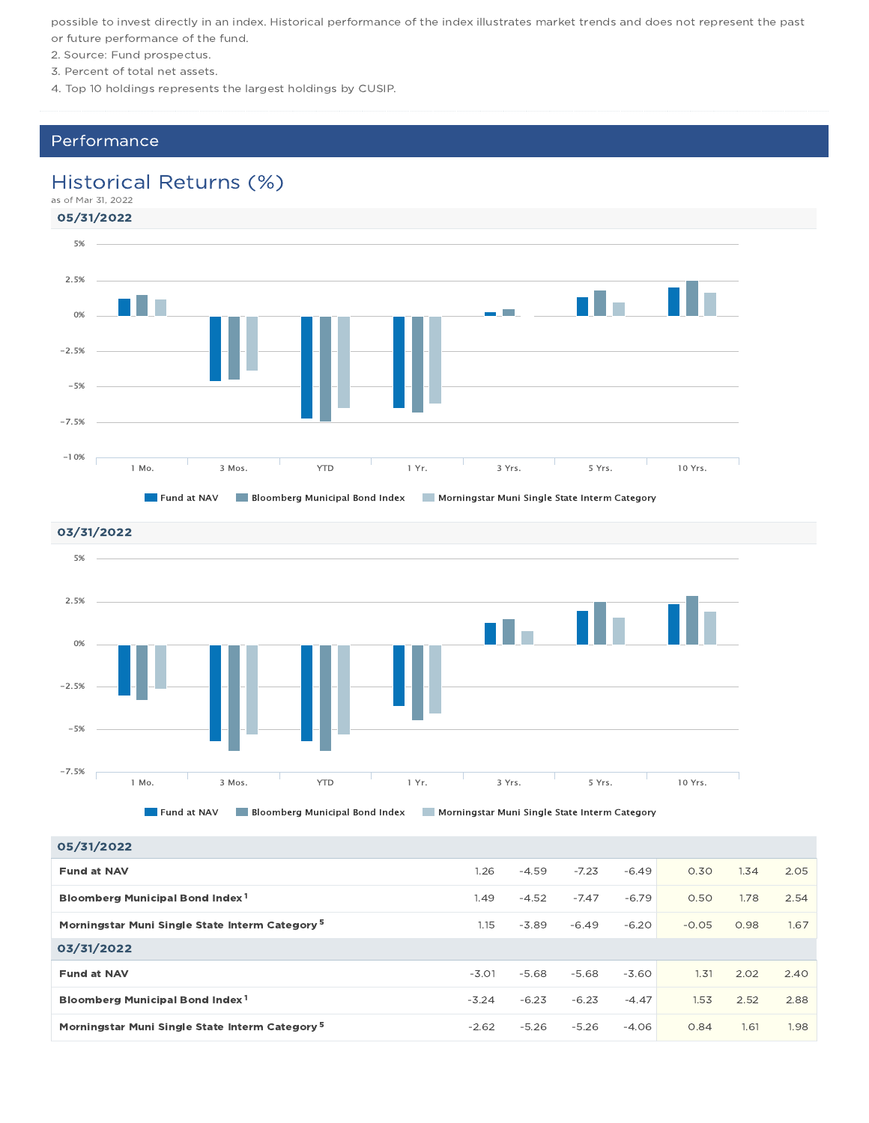possible to invest directly in an index. Historical performance of the index illustrates market trends and does not represent the past or future performance of the fund.

- 2. Source: Fund prospectus.
- 3. Percent of total net assets.
- 4. Top 10 holdings represents the largest holdings by CUSIP.

### Performance

### Historical Returns (%)





05/31/2022

| 05/31/2022                                                 |         |         |         |         |         |      |      |
|------------------------------------------------------------|---------|---------|---------|---------|---------|------|------|
| <b>Fund at NAV</b>                                         | 1.26    | $-4.59$ | $-7.23$ | $-6.49$ | 0.30    | 1.34 | 2.05 |
| Bloomberg Municipal Bond Index <sup>1</sup>                | 1.49    | $-4.52$ | $-7.47$ | $-6.79$ | 0.50    | 1.78 | 2.54 |
| Morningstar Muni Single State Interm Category <sup>5</sup> | 1.15    | $-3.89$ | $-6.49$ | $-6.20$ | $-0.05$ | 0.98 | 1.67 |
| 03/31/2022                                                 |         |         |         |         |         |      |      |
| <b>Fund at NAV</b>                                         | $-3.01$ | $-5.68$ | $-5.68$ | $-3.60$ | 1.31    | 2.02 | 2.40 |
| Bloomberg Municipal Bond Index <sup>1</sup>                | $-3.24$ | $-6.23$ | $-6.23$ | $-4.47$ | 1.53    | 2.52 | 2.88 |
| Morningstar Muni Single State Interm Category <sup>5</sup> | $-2.62$ | $-5.26$ | $-5.26$ | $-4.06$ | 0.84    | 1.61 | 1.98 |
|                                                            |         |         |         |         |         |      |      |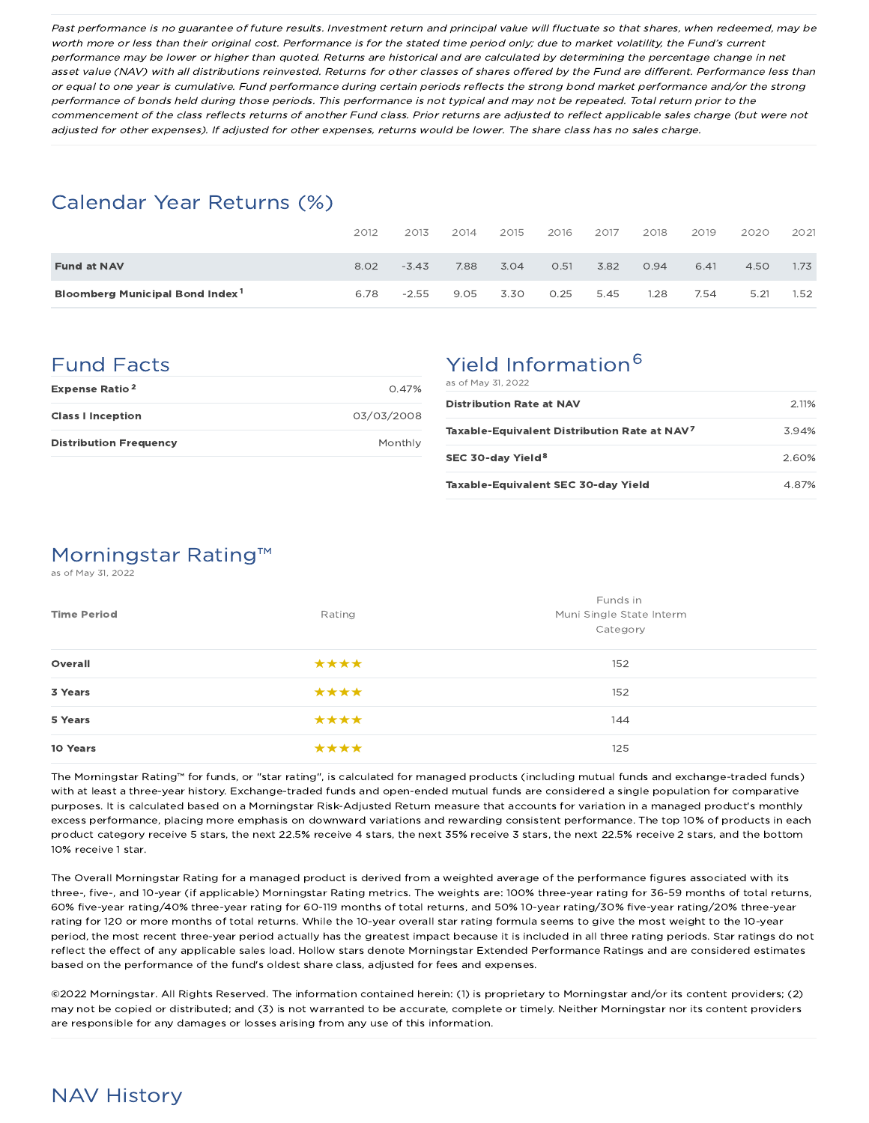Past performance is no guarantee of future results. Investment return and principal value will fluctuate so that shares, when redeemed, may be worth more or less than their original cost. Performance is for the stated time period only; due to market volatility, the Fund's current performance may be lower or higher than quoted. Returns are historical and are calculated by determining the percentage change in net asset value (NAV) with all distributions reinvested. Returns for other classes of shares offered by the Fund are different. Performance less than or equal to one year is cumulative. Fund performance during certain periods reflects the strong bond market performance and/or the strong performance of bonds held during those periods. This performance is not typical and may not be repeated. Total return prior to the commencement of the class reflects returns of another Fund class. Prior returns are adjusted to reflect applicable sales charge (but were not adjusted for other expenses). If adjusted for other expenses, returns would be lower. The share class has no sales charge.

### Calendar Year Returns (%)

|                                             | 2012 | 2013    | 2014 | 2015 | 2016 | 2017 | 2018 | 2019 | 2020 | 2021 |
|---------------------------------------------|------|---------|------|------|------|------|------|------|------|------|
| <b>Fund at NAV</b>                          | 8.02 | $-3.43$ | 7.88 | 3.04 | O.51 | 3.82 | 0.94 | 6.41 | 4.50 | 1.73 |
| Bloomberg Municipal Bond Index <sup>1</sup> | 6.78 | $-2.55$ | 9.05 | 3.30 | 0.25 | 5.45 | .28  | 7.54 | 5.21 | 1.52 |

### Fund Facts

| <b>Expense Ratio<sup>2</sup></b> | 0.47%      |
|----------------------------------|------------|
| <b>Class I Inception</b>         | 03/03/2008 |
| <b>Distribution Frequency</b>    | Monthly    |

# Yield Information<sup>6</sup>

| as of May 31, 2022                                       |       |
|----------------------------------------------------------|-------|
| <b>Distribution Rate at NAV</b>                          | 2.11% |
| Taxable-Equivalent Distribution Rate at NAV <sup>7</sup> | 394%  |
| SEC 30-day Yield <sup>8</sup>                            | 2.60% |
| Taxable-Equivalent SEC 30-day Yield                      | 4.87% |

# Morningstar Rating™

as of May 31, 2022

| <b>Time Period</b> | Rating | Funds in<br>Muni Single State Interm<br>Category |
|--------------------|--------|--------------------------------------------------|
| Overall            | ****   | 152                                              |
| 3 Years            | ****   | 152                                              |
| 5 Years            | ****   | 144                                              |
| 10 Years           | ****   | 125                                              |

The Morningstar Rating™ for funds, or "star rating", is calculated for managed products (including mutual funds and exchange-traded funds) with at least a three-year history. Exchange-traded funds and open-ended mutual funds are considered a single population for comparative purposes. It is calculated based on a Morningstar Risk-Adjusted Return measure that accounts for variation in a managed product's monthly excess performance, placing more emphasis on downward variations and rewarding consistent performance. The top 10% of products in each product category receive 5 stars, the next 22.5% receive 4 stars, the next 35% receive 3 stars, the next 22.5% receive 2 stars, and the bottom 10% receive 1 star.

The Overall Morningstar Rating for a managed product is derived from a weighted average of the performance figures associated with its three-, five-, and 10-year (if applicable) Morningstar Rating metrics. The weights are: 100% three-year rating for 36-59 months of total returns, 60% five-year rating/40% three-year rating for 60-119 months of total returns, and 50% 10-year rating/30% five-year rating/20% three-year rating for 120 or more months of total returns. While the 10-year overall star rating formula seems to give the most weight to the 10-year period, the most recent three-year period actually has the greatest impact because it is included in all three rating periods. Star ratings do not reflect the effect of any applicable sales load. Hollow stars denote Morningstar Extended Performance Ratings and are considered estimates based on the performance of the fund's oldest share class, adjusted for fees and expenses.

©2022 Morningstar. All Rights Reserved. The information contained herein: (1) is proprietary to Morningstar and/or its content providers; (2) may not be copied or distributed; and (3) is not warranted to be accurate, complete or timely. Neither Morningstar nor its content providers are responsible for any damages or losses arising from any use of this information.

### NAV History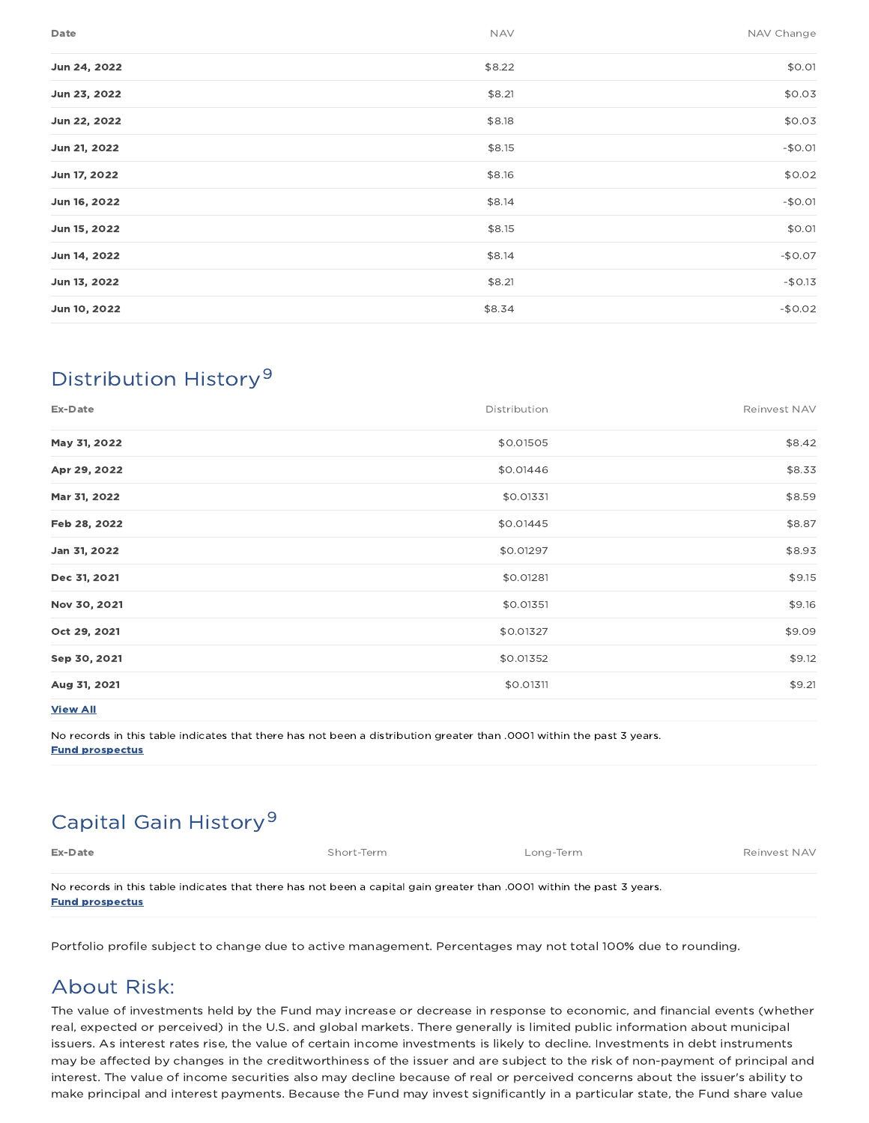| Date         | <b>NAV</b> | NAV Change |
|--------------|------------|------------|
| Jun 24, 2022 | \$8.22     | \$0.01     |
| Jun 23, 2022 | \$8.21     | \$0.03     |
| Jun 22, 2022 | \$8.18     | \$0.03     |
| Jun 21, 2022 | \$8.15     | $-$0.01$   |
| Jun 17, 2022 | \$8.16     | \$0.02     |
| Jun 16, 2022 | \$8.14     | $-$0.01$   |
| Jun 15, 2022 | \$8.15     | \$0.01     |
| Jun 14, 2022 | \$8.14     | $-$0.07$   |
| Jun 13, 2022 | \$8.21     | $-$0.13$   |
| Jun 10, 2022 | \$8.34     | $-$0.02$   |
|              |            |            |

# Distribution History 9

| Ex-Date         | Distribution | Reinvest NAV |
|-----------------|--------------|--------------|
| May 31, 2022    | \$0.01505    | \$8.42       |
| Apr 29, 2022    | \$0.01446    | \$8.33       |
| Mar 31, 2022    | \$0.01331    | \$8.59       |
| Feb 28, 2022    | \$0.01445    | \$8.87       |
| Jan 31, 2022    | \$0.01297    | \$8.93       |
| Dec 31, 2021    | \$0.01281    | \$9.15       |
| Nov 30, 2021    | \$0.01351    | \$9.16       |
| Oct 29, 2021    | \$0.01327    | \$9.09       |
| Sep 30, 2021    | \$0.01352    | \$9.12       |
| Aug 31, 2021    | \$0.01311    | \$9.21       |
| <b>View All</b> |              |              |

No records in this table indicates that there has not been a distribution greater than .0001 within the past 3 years. Fund prospectus

# Capital Gain History<sup>9</sup>

Ex-Date Short-Term Exercise Short-Term Long-Term Long-Term Reinvest NAV

No records in this table indicates that there has not been a capital gain greater than .0001 within the past 3 years. Fund prospectus

Portfolio profile subject to change due to active management. Percentages may not total 100% due to rounding.

### About Risk:

The value of investments held by the Fund may increase or decrease in response to economic, and financial events (whether real, expected or perceived) in the U.S. and global markets. There generally is limited public information about municipal issuers. As interest rates rise, the value of certain income investments is likely to decline. Investments in debt instruments may be affected by changes in the creditworthiness of the issuer and are subject to the risk of non-payment of principal and interest. The value of income securities also may decline because of real or perceived concerns about the issuer's ability to make principal and interest payments. Because the Fund may invest significantly in a particular state, the Fund share value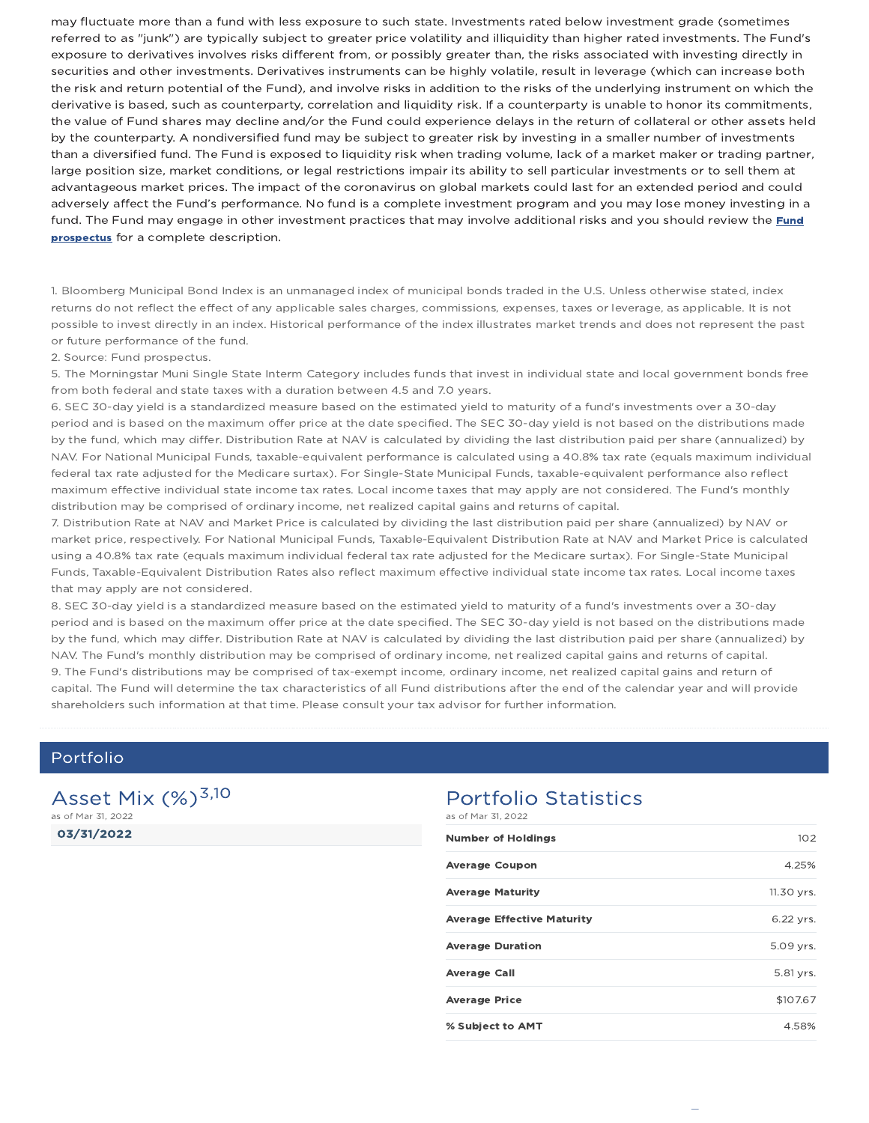may fluctuate more than a fund with less exposure to such state. Investments rated below investment grade (sometimes referred to as "junk") are typically subject to greater price volatility and illiquidity than higher rated investments. The Fund's exposure to derivatives involves risks different from, or possibly greater than, the risks associated with investing directly in securities and other investments. Derivatives instruments can be highly volatile, result in leverage (which can increase both the risk and return potential of the Fund), and involve risks in addition to the risks of the underlying instrument on which the derivative is based, such as counterparty, correlation and liquidity risk. If a counterparty is unable to honor its commitments, the value of Fund shares may decline and/or the Fund could experience delays in the return of collateral or other assets held by the counterparty. A nondiversified fund may be subject to greater risk by investing in a smaller number of investments than a diversified fund. The Fund is exposed to liquidity risk when trading volume, lack of a market maker or trading partner, large position size, market conditions, or legal restrictions impair its ability to sell particular investments or to sell them at advantageous market prices. The impact of the coronavirus on global markets could last for an extended period and could adversely affect the Fund's performance. No fund is a complete investment program and you may lose money investing in a fund. The Fund may engage in other investment practices that may involve additional risks and you should review the Fund prospectus for a complete description.

1. Bloomberg Municipal Bond Index is an unmanaged index of municipal bonds traded in the U.S. Unless otherwise stated, index returns do not reflect the effect of any applicable sales charges, commissions, expenses, taxes or leverage, as applicable. It is not possible to invest directly in an index. Historical performance of the index illustrates market trends and does not represent the past or future performance of the fund.

2. Source: Fund prospectus.

5. The Morningstar Muni Single State Interm Category includes funds that invest in individual state and local government bonds free from both federal and state taxes with a duration between 4.5 and 7.0 years.

6. SEC 30-day yield is a standardized measure based on the estimated yield to maturity of a fund's investments over a 30-day period and is based on the maximum offer price at the date specified. The SEC 30-day yield is not based on the distributions made by the fund, which may differ. Distribution Rate at NAV is calculated by dividing the last distribution paid per share (annualized) by NAV. For National Municipal Funds, taxable-equivalent performance is calculated using a 40.8% tax rate (equals maximum individual federal tax rate adjusted for the Medicare surtax). For Single-State Municipal Funds, taxable-equivalent performance also reflect maximum effective individual state income tax rates. Local income taxes that may apply are not considered. The Fund's monthly distribution may be comprised of ordinary income, net realized capital gains and returns of capital.

7. Distribution Rate at NAV and Market Price is calculated by dividing the last distribution paid per share (annualized) by NAV or market price, respectively. For National Municipal Funds, Taxable-Equivalent Distribution Rate at NAV and Market Price is calculated using a 40.8% tax rate (equals maximum individual federal tax rate adjusted for the Medicare surtax). For Single-State Municipal Funds, Taxable-Equivalent Distribution Rates also reflect maximum effective individual state income tax rates. Local income taxes that may apply are not considered.

8. SEC 30-day yield is a standardized measure based on the estimated yield to maturity of a fund's investments over a 30-day period and is based on the maximum offer price at the date specified. The SEC 30-day yield is not based on the distributions made by the fund, which may differ. Distribution Rate at NAV is calculated by dividing the last distribution paid per share (annualized) by NAV. The Fund's monthly distribution may be comprised of ordinary income, net realized capital gains and returns of capital. 9. The Fund's distributions may be comprised of tax-exempt income, ordinary income, net realized capital gains and return of capital. The Fund will determine the tax characteristics of all Fund distributions after the end of the calendar year and will provide shareholders such information at that time. Please consult your tax advisor for further information.

### Portfolio

03/31/2022 Asset Mix  $(\%)^{3,10}$ as of Mar 31, 2022

#### Portfolio Statistics as of Mar 31, 2022

| <b>Number of Holdings</b>         | 102        |
|-----------------------------------|------------|
| <b>Average Coupon</b>             | 4.25%      |
| <b>Average Maturity</b>           | 11.30 yrs. |
| <b>Average Effective Maturity</b> | 6.22 yrs.  |
| <b>Average Duration</b>           | 5.09 yrs.  |
| <b>Average Call</b>               | 5.81 yrs.  |
| <b>Average Price</b>              | \$107.67   |
| % Subject to AMT                  | 4.58%      |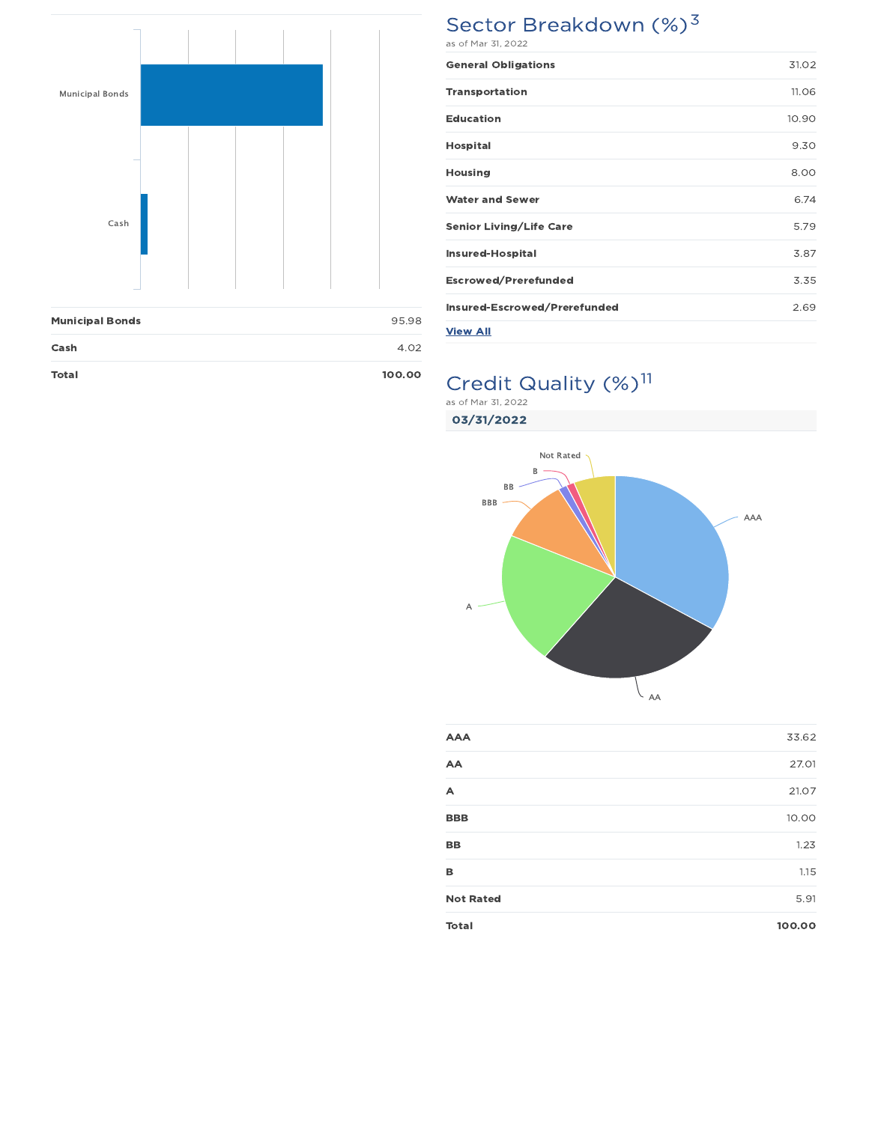

| <b>Total</b>           | 100.00 |  |
|------------------------|--------|--|
| Cash                   | 4.02   |  |
| <b>Municipal Bonds</b> | 95.98  |  |

# Sector Breakdown (%)<sup>3</sup>

| <b>General Obligations</b>     | 31.02 |
|--------------------------------|-------|
| <b>Transportation</b>          | 11.06 |
| <b>Education</b>               | 10.90 |
| <b>Hospital</b>                | 9.30  |
| <b>Housing</b>                 | 8.00  |
| <b>Water and Sewer</b>         | 6.74  |
| <b>Senior Living/Life Care</b> | 5.79  |
| <b>Insured-Hospital</b>        | 3.87  |
| <b>Escrowed/Prerefunded</b>    | 3.35  |
| Insured-Escrowed/Prerefunded   | 2.69  |
| <b>View All</b>                |       |

# Credit Quality (%)<sup>11</sup>

as of Mar 31, 2022

03/31/2022



| <b>AAA</b>       | 33.62  |
|------------------|--------|
| AA               | 27.01  |
| A                | 21.07  |
| <b>BBB</b>       | 10.00  |
| BB               | 1.23   |
| в                | 1.15   |
| <b>Not Rated</b> | 5.91   |
| <b>Total</b>     | 100.00 |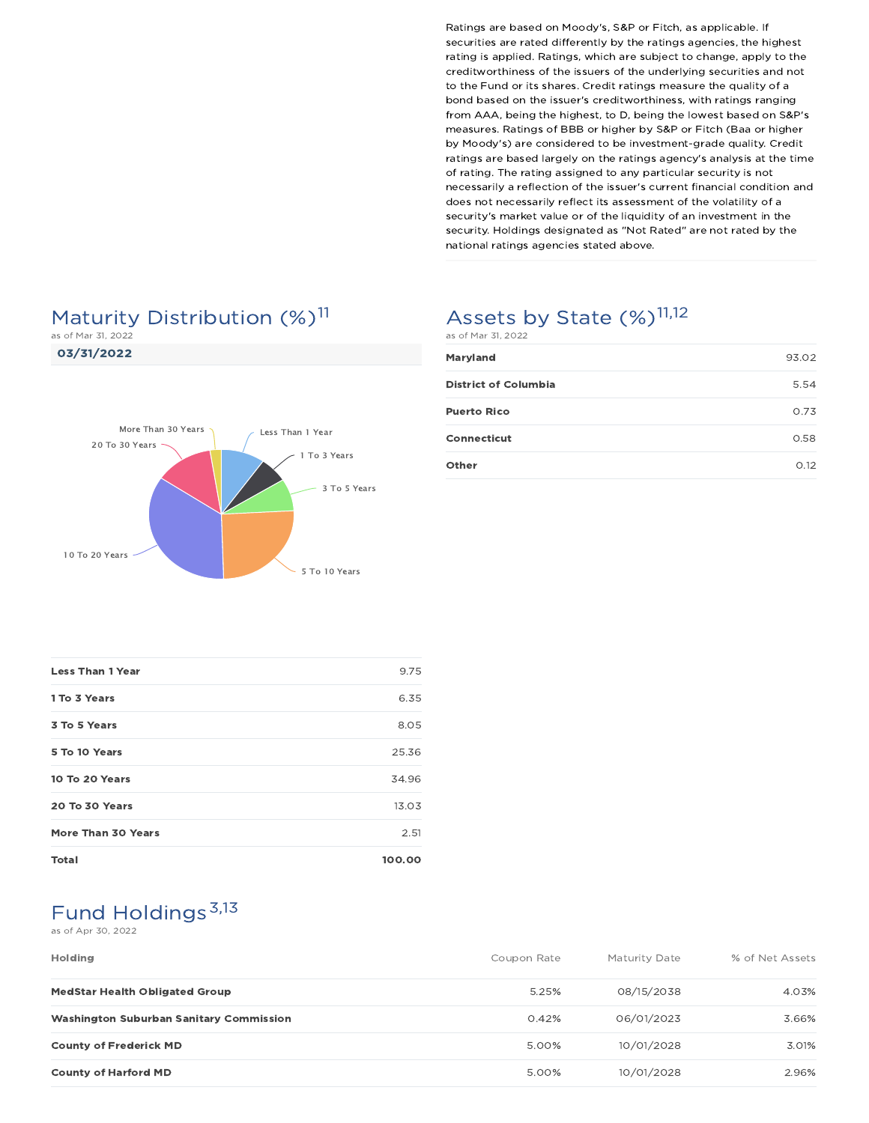# Maturity Distribution (%)<sup>11</sup>

as of Mar 31, 2022

03/31/2022



# Assets by State (%)<sup>11,12</sup>

| as of Mar 31, 2022          |       |  |
|-----------------------------|-------|--|
| Maryland                    | 93.02 |  |
| <b>District of Columbia</b> | 5.54  |  |
| <b>Puerto Rico</b>          | 0.73  |  |
| Connecticut                 | 0.58  |  |
| Other                       | O.12  |  |

| <b>Less Than 1 Year</b>   | 9.75   |
|---------------------------|--------|
| 1 To 3 Years              | 6.35   |
| 3 To 5 Years              | 8.05   |
| 5 To 10 Years             | 25.36  |
| 10 To 20 Years            | 34.96  |
| 20 To 30 Years            | 13.03  |
| <b>More Than 30 Years</b> | 2.51   |
| <b>Total</b>              | 100.00 |

# Fund Holdings<sup>3,13</sup>

#### as of Apr 30, 2022

| <b>Holding</b>                                 | Coupon Rate | Maturity Date | % of Net Assets |
|------------------------------------------------|-------------|---------------|-----------------|
| <b>MedStar Health Obligated Group</b>          | 5.25%       | 08/15/2038    | 4.03%           |
| <b>Washington Suburban Sanitary Commission</b> | 0.42%       | 06/01/2023    | 3.66%           |
| <b>County of Frederick MD</b>                  | 5.00%       | 10/01/2028    | 3.01%           |
| <b>County of Harford MD</b>                    | 5.00%       | 10/01/2028    | 2.96%           |

Ratings are based on Moody's, S&P or Fitch, as applicable. If securities are rated differently by the ratings agencies, the highest rating is applied. Ratings, which are subject to change, apply to the creditworthiness of the issuers of the underlying securities and not to the Fund or its shares. Credit ratings measure the quality of a bond based on the issuer's creditworthiness, with ratings ranging from AAA, being the highest, to D, being the lowest based on S&P's measures. Ratings of BBB or higher by S&P or Fitch (Baa or higher by Moody's) are considered to be investment-grade quality. Credit ratings are based largely on the ratings agency's analysis at the time of rating. The rating assigned to any particular security is not necessarily a reflection of the issuer's current financial condition and does not necessarily reflect its assessment of the volatility of a security's market value or of the liquidity of an investment in the security. Holdings designated as "Not Rated" are not rated by the national ratings agencies stated above.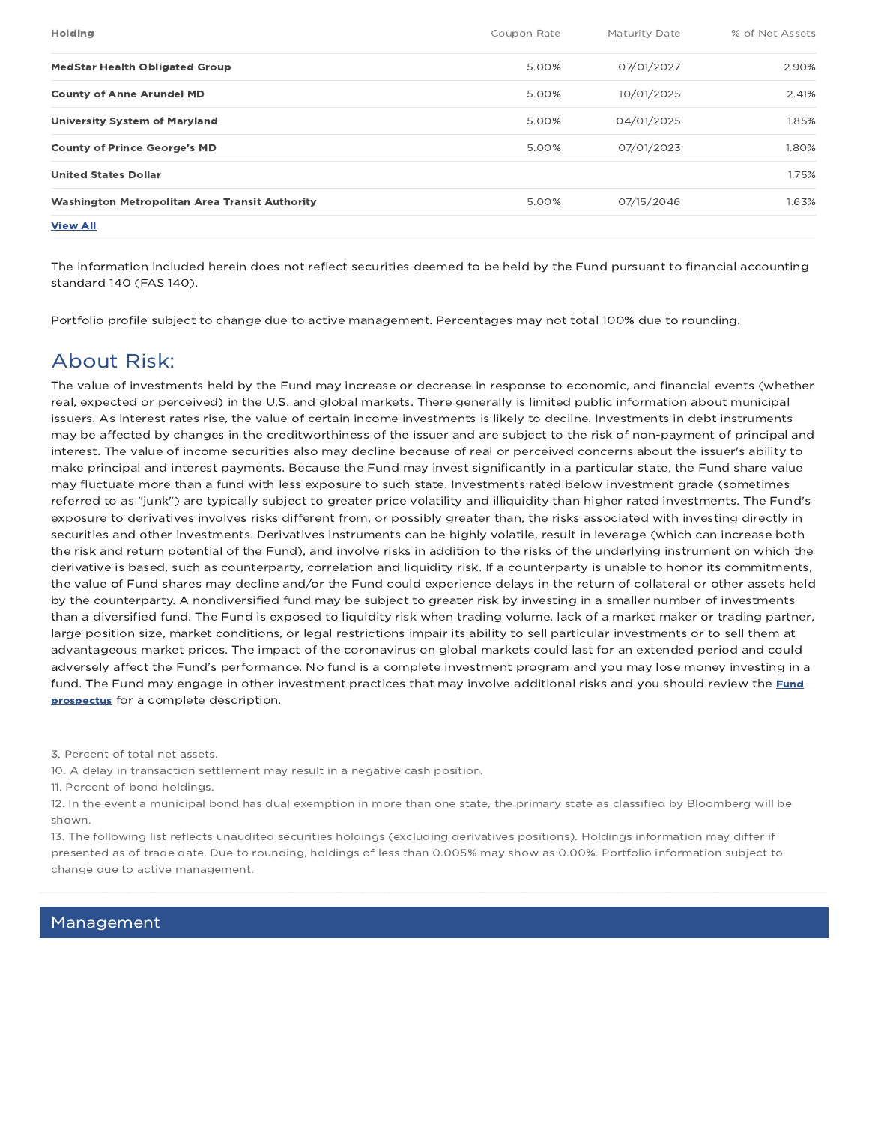| <b>Holding</b>                                 | Coupon Rate | Maturity Date | % of Net Assets |
|------------------------------------------------|-------------|---------------|-----------------|
| <b>MedStar Health Obligated Group</b>          | 5.00%       | 07/01/2027    | 2.90%           |
| <b>County of Anne Arundel MD</b>               | 5.00%       | 10/01/2025    | 2.41%           |
| <b>University System of Maryland</b>           | 5.00%       | 04/01/2025    | 1.85%           |
| <b>County of Prince George's MD</b>            | 5.00%       | 07/01/2023    | 1.80%           |
| <b>United States Dollar</b>                    |             |               | 1.75%           |
| Washington Metropolitan Area Transit Authority | 5.00%       | 07/15/2046    | 1.63%           |
| <b>View All</b>                                |             |               |                 |

The information included herein does not reflect securities deemed to be held by the Fund pursuant to financial accounting standard 140 (FAS 140).

Portfolio profile subject to change due to active management. Percentages may not total 100% due to rounding.

### About Risk:

The value of investments held by the Fund may increase or decrease in response to economic, and financial events (whether real, expected or perceived) in the U.S. and global markets. There generally is limited public information about municipal issuers. As interest rates rise, the value of certain income investments is likely to decline. Investments in debt instruments may be affected by changes in the creditworthiness of the issuer and are subject to the risk of non-payment of principal and interest. The value of income securities also may decline because of real or perceived concerns about the issuer's ability to make principal and interest payments. Because the Fund may invest significantly in a particular state, the Fund share value may fluctuate more than a fund with less exposure to such state. Investments rated below investment grade (sometimes referred to as "junk") are typically subject to greater price volatility and illiquidity than higher rated investments. The Fund's exposure to derivatives involves risks different from, or possibly greater than, the risks associated with investing directly in securities and other investments. Derivatives instruments can be highly volatile, result in leverage (which can increase both the risk and return potential of the Fund), and involve risks in addition to the risks of the underlying instrument on which the derivative is based, such as counterparty, correlation and liquidity risk. If a counterparty is unable to honor its commitments, the value of Fund shares may decline and/or the Fund could experience delays in the return of collateral or other assets held by the counterparty. A nondiversified fund may be subject to greater risk by investing in a smaller number of investments than a diversified fund. The Fund is exposed to liquidity risk when trading volume, lack of a market maker or trading partner, large position size, market conditions, or legal restrictions impair its ability to sell particular investments or to sell them at advantageous market prices. The impact of the coronavirus on global markets could last for an extended period and could adversely affect the Fund's performance. No fund is a complete investment program and you may lose money investing in a fund. The Fund may engage in other investment practices that may involve additional risks and you should review the Fund prospectus for a complete description.

3. Percent of total net assets.

10. A delay in transaction settlement may result in a negative cash position.

11. Percent of bond holdings.

12. In the event a municipal bond has dual exemption in more than one state, the primary state as classified by Bloomberg will be shown.

13. The following list reflects unaudited securities holdings (excluding derivatives positions). Holdings information may differ if presented as of trade date. Due to rounding, holdings of less than 0.005% may show as 0.00%. Portfolio information subject to change due to active management.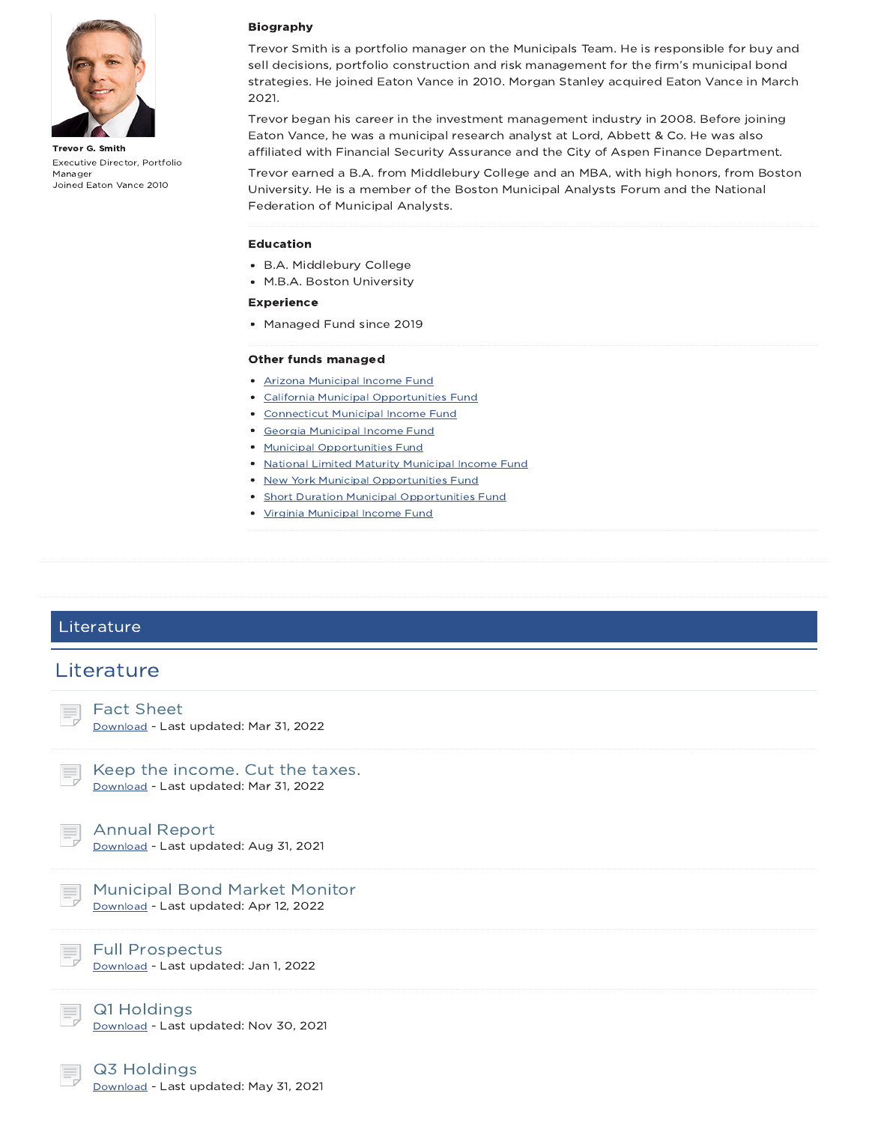

Trevor G. Smith Executive Director, Portfolio Manager Joined Eaton Vance 2010

#### Biography

Trevor Smith is a portfolio manager on the Municipals Team. He is responsible for buy and sell decisions, portfolio construction and risk management for the firm's municipal bond strategies. He joined Eaton Vance in 2010. Morgan Stanley acquired Eaton Vance in March 2021.

Trevor began his career in the investment management industry in 2008. Before joining Eaton Vance, he was a municipal research analyst at Lord, Abbett & Co. He was also affiliated with Financial Security Assurance and the City of Aspen Finance Department.

Trevor earned a B.A. from Middlebury College and an MBA, with high honors, from Boston University. He is a member of the Boston Municipal Analysts Forum and the National Federation of Municipal Analysts.

#### Education

- B.A. Middlebury College
- M.B.A. Boston University

#### Experience

• Managed Fund since 2019

#### Other funds managed

- Arizona Municipal Income Fund
- California Municipal Opportunities Fund
- Connecticut Municipal Income Fund
- Georgia Municipal Income Fund
- Municipal Opportunities Fund
- National Limited Maturity Municipal Income Fund
- New York Municipal Opportunities Fund
- **Short Duration Municipal Opportunities Fund**
- Virginia Municipal Income Fund

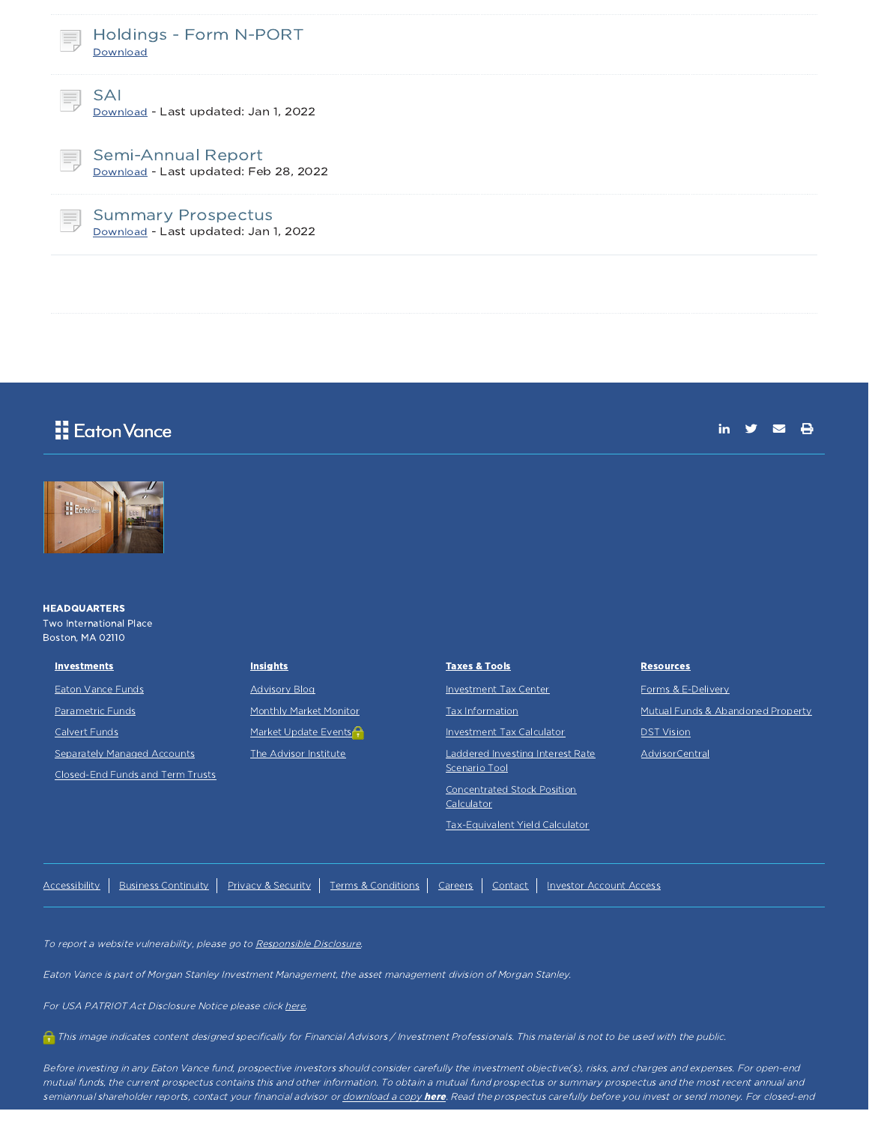| Ħ. | Holdings - Form N-PORT<br>Download                                 |
|----|--------------------------------------------------------------------|
| Ħ, | SAI<br>Download - Last updated: Jan 1, 2022                        |
| 弖  | <b>Semi-Annual Report</b><br>Download - Last updated: Feb 28, 2022 |
| 巪  | <b>Summary Prospectus</b><br>Download - Last updated: Jan 1, 2022  |

### Eaton Vance

in  $y = \theta$ 



**HEADQUARTERS** Two International Place Boston, MA 02110

| <b>Investments</b>               | <b>Insights</b>               | <b>Taxes &amp; Tools</b>         | <b>Resources</b>                  |
|----------------------------------|-------------------------------|----------------------------------|-----------------------------------|
| <b>Eaton Vance Funds</b>         | <b>Advisory Blog</b>          | <b>Investment Tax Center</b>     | Forms & E-Delivery                |
| <b>Parametric Funds</b>          | <b>Monthly Market Monitor</b> | Tax Information                  | Mutual Funds & Abandoned Property |
| Calvert Funds                    | Market Update Events          | <b>Investment Tax Calculator</b> | <b>DST Vision</b>                 |
| Separately Managed Accounts      | The Advisor Institute         | Laddered Investing Interest Rate | AdvisorCentral                    |
| Closed-End Funds and Term Trusts |                               | Scenario Tool                    |                                   |
|                                  |                               | Concentrated Stock Position      |                                   |

Calculator

Tax-Equivalent Yield Calculator

Accessibility | Business Continuity | Privacy & Security | Terms & Conditions | Careers | Contact | Investor Account Access

To report a website vulnerability, please go to Responsible Disclosure.

Eaton Vance is part of Morgan Stanley Investment Management, the asset management division of Morgan Stanley.

For USA PATRIOT Act Disclosure Notice please click here.

This image indicates content designed specifically for Financial Advisors / Investment Professionals. This material is not to be used with the public.

Before investing in any Eaton Vance fund, prospective investors should consider carefully the investment objective(s), risks, and charges and expenses. For open-end mutual funds, the current prospectus contains this and other information. To obtain <sup>a</sup> mutual fund prospectus or summary prospectus and the most recent annual and semiannual shareholder reports, contact your financial advisor or <u>download a copy **here**</u>. Read the prospectus carefully before you invest or send money. For closed-end